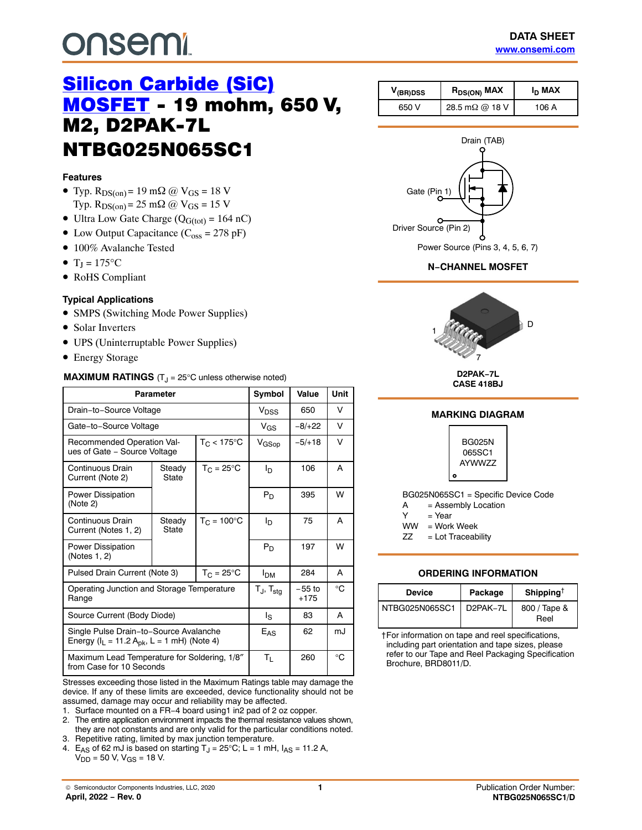# <span id="page-0-0"></span>**DUSEMI**

## [Silicon Carbide \(SiC\)](https://www.onsemi.com/products/discrete-power-modules/silicon-carbide-sic/silicon-carbide-sic-mosfets) **[MOSFET](https://www.onsemi.com/products/discrete-power-modules/silicon-carbide-sic/silicon-carbide-sic-mosfets) - 19 mohm, 650 V.** M2, D2PAK-7L NTBG025N065SC1

#### **Features**

- Typ.  $R_{DS(on)} = 19$  m $\Omega$  @  $V_{GS} = 18$  V Typ.  $R_{DS(on)} = 25$  m $\Omega$  @  $V_{GS} = 15$  V
- Ultra Low Gate Charge  $(Q_{G(tot)} = 164 \text{ nC})$
- Low Output Capacitance  $(C_{\text{oss}} = 278 \text{ pF})$
- 100% Avalanche Tested
- $T_J = 175$ °C
- RoHS Compliant

#### **Typical Applications**

- SMPS (Switching Mode Power Supplies)
- Solar Inverters
- UPS (Uninterruptable Power Supplies)
- Energy Storage

#### **MAXIMUM RATINGS** (T<sub>J</sub> = 25°C unless otherwise noted)

| <b>Parameter</b>                                                                            |                       |                        | Symbol                   | Value              | <b>Unit</b> |
|---------------------------------------------------------------------------------------------|-----------------------|------------------------|--------------------------|--------------------|-------------|
| Drain-to-Source Voltage                                                                     | V <sub>DSS</sub>      | 650                    | v                        |                    |             |
| Gate-to-Source Voltage                                                                      |                       |                        | $V_{GS}$                 | $-8/+22$           | V           |
| Recommended Operation Val-<br>ues of Gate - Source Voltage                                  |                       | $T_{\rm C}$ < 175°C    | V <sub>GSop</sub>        | $-5/+18$           | V           |
| Continuous Drain<br>Current (Note 2)                                                        | Steady<br>State       | $T_C = 25^{\circ}C$    | ln.                      | 106                | A           |
| Power Dissipation<br>(Note 2)                                                               |                       |                        | $P_D$                    | 395                | W           |
| Continuous Drain<br>Current (Notes 1, 2)                                                    | Steady<br>State       | $T_{C} = 100^{\circ}C$ | ΙD                       | 75                 | A           |
| Power Dissipation<br>(Notes 1, 2)                                                           |                       |                        | P <sub>D</sub>           | 197                | W           |
| Pulsed Drain Current (Note 3)                                                               | <b>I<sub>DM</sub></b> | 284                    | A                        |                    |             |
| Operating Junction and Storage Temperature<br>Range                                         |                       |                        | $T_J$ , $T_{\text{stg}}$ | $-55$ to<br>$+175$ | °C          |
| Source Current (Body Diode)                                                                 | ls                    | 83                     | A                        |                    |             |
| Single Pulse Drain-to-Source Avalanche<br>Energy ( $I_L = 11.2 A_{pk}$ , L = 1 mH) (Note 4) |                       |                        | $E_{AS}$                 | 62                 | mJ          |
| Maximum Lead Temperature for Soldering, 1/8"<br>from Case for 10 Seconds                    |                       |                        | $T_{L}$                  | 260                | °C          |

Stresses exceeding those listed in the Maximum Ratings table may damage the device. If any of these limits are exceeded, device functionality should not be assumed, damage may occur and reliability may be affected.

1. Surface mounted on a FR−4 board using1 in2 pad of 2 oz copper.

2. The entire application environment impacts the thermal resistance values shown, they are not constants and are only valid for the particular conditions noted. 3. Repetitive rating, limited by max junction temperature.

4. E<sub>AS</sub> of 62 mJ is based on starting  $T_J = 25^{\circ}C$ ; L = 1 mH,  $I_{AS} = 11.2$  A,  $V_{DD}$  = 50 V,  $V_{GS}$  = 18 V.

| $V_{\text{(BR)DSS}}$ | $R_{DS(ON)}$ MAX       | In MAX |
|----------------------|------------------------|--------|
| 650 V                | 28.5 m $\Omega$ @ 18 V | 106 A  |

# Drain (TAB) Power Source (Pins 3, 4, 5, 6, 7) Gate (Pin 1) Driver Source (Pin 2)

#### **N−CHANNEL MOSFET**



**D2PAK−7L CASE 418BJ**



ZZ = Lot Traceability

#### **ORDERING INFORMATION**

| <b>Device</b>  | Package               | Shipping <sup>†</sup> |  |  |
|----------------|-----------------------|-----------------------|--|--|
| NTBG025N065SC1 | D <sub>2</sub> PAK-7L | 800 / Tape &<br>Reel  |  |  |

†For information on tape and reel specifications, including part orientation and tape sizes, please refer to our Tape and Reel Packaging Specification Brochure, BRD8011/D.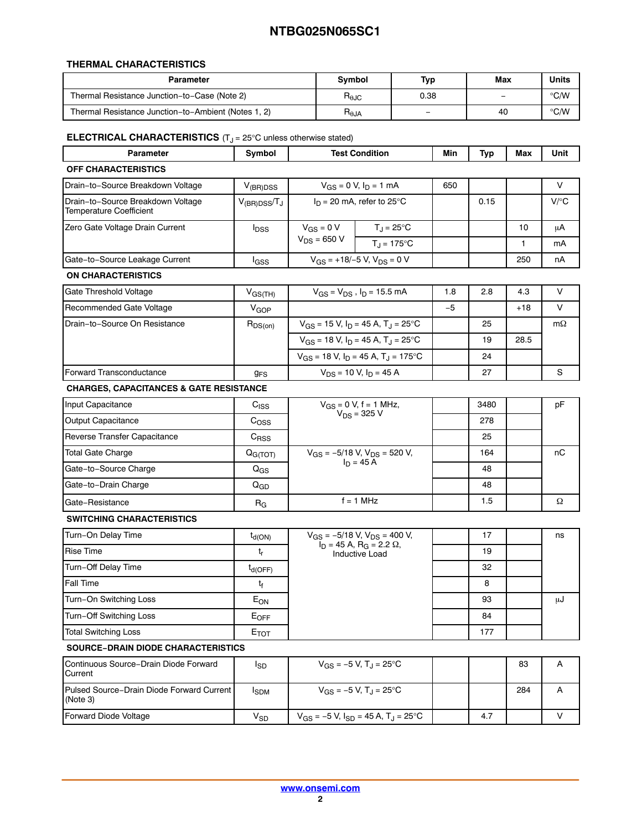#### **THERMAL CHARACTERISTICS**

| Parameter                                           | <b>Symbol</b>                             | Typ  | Max      | Units         |
|-----------------------------------------------------|-------------------------------------------|------|----------|---------------|
| Thermal Resistance Junction-to-Case (Note 2)        | $\mathsf{R}_{\theta\mathsf{J}\mathsf{C}}$ | 0.38 | $\equiv$ | °C/W          |
| Thermal Resistance Junction-to-Ambient (Notes 1, 2) | $H_{\theta}$ JA                           | -    | 40       | $\degree$ C/W |

#### **ELECTRICAL CHARACTERISTICS** (T<sub>J</sub> = 25°C unless otherwise stated)

| <b>Parameter</b>                                                    | Symbol                   | <b>Test Condition</b>                                                                                           |                                                        | Min  | Typ  | Max   | Unit      |
|---------------------------------------------------------------------|--------------------------|-----------------------------------------------------------------------------------------------------------------|--------------------------------------------------------|------|------|-------|-----------|
| <b>OFF CHARACTERISTICS</b>                                          |                          |                                                                                                                 |                                                        |      |      |       |           |
| Drain-to-Source Breakdown Voltage                                   | $V_{(BR)DSS}$            | $V_{GS} = 0 V, I_D = 1 mA$                                                                                      |                                                        | 650  |      |       | V         |
| Drain-to-Source Breakdown Voltage<br><b>Temperature Coefficient</b> | $V_{(BR)DSS}/T_J$        |                                                                                                                 | $I_D$ = 20 mA, refer to 25°C                           |      | 0.15 |       | V/C       |
| Zero Gate Voltage Drain Current                                     | $I_{\text{DSS}}$         | $V_{GS} = 0 V$                                                                                                  | $T_{\text{J}} = 25^{\circ} \text{C}$                   |      |      | 10    | μA        |
|                                                                     |                          | $V_{DS}$ = 650 V                                                                                                | $T_{\rm J}$ = 175°C                                    |      |      | 1.    | mA        |
| Gate-to-Source Leakage Current                                      | lgss                     |                                                                                                                 | $V_{GS}$ = +18/-5 V, $V_{DS}$ = 0 V                    |      |      | 250   | nA        |
| <b>ON CHARACTERISTICS</b>                                           |                          |                                                                                                                 |                                                        |      |      |       |           |
| Gate Threshold Voltage                                              | $V_{GS(TH)}$             |                                                                                                                 | $V_{GS} = V_{DS}$ , $I_D = 15.5$ mA                    | 1.8  | 2.8  | 4.3   | V         |
| Recommended Gate Voltage                                            | V <sub>GOP</sub>         |                                                                                                                 |                                                        | $-5$ |      | $+18$ | $\vee$    |
| Drain-to-Source On Resistance                                       | $R_{DS(on)}$             |                                                                                                                 | $V_{GS}$ = 15 V, $I_D$ = 45 A, T <sub>J</sub> = 25°C   |      | 25   |       | $m\Omega$ |
|                                                                     |                          |                                                                                                                 | $V_{GS}$ = 18 V, $I_D$ = 45 A, T <sub>J</sub> = 25 °C  |      | 19   | 28.5  |           |
|                                                                     |                          |                                                                                                                 | $V_{GS}$ = 18 V, $I_D$ = 45 A, T <sub>J</sub> = 175 °C |      | 24   |       |           |
| <b>Forward Transconductance</b>                                     | 9 <sub>FS</sub>          | $V_{DS}$ = 10 V, $I_D$ = 45 A                                                                                   |                                                        |      | 27   |       | S         |
| <b>CHARGES, CAPACITANCES &amp; GATE RESISTANCE</b>                  |                          |                                                                                                                 |                                                        |      |      |       |           |
| Input Capacitance                                                   | C <sub>ISS</sub>         |                                                                                                                 | $V_{GS} = 0 V, f = 1 MHz,$<br>$V_{DS} = 325 V$         |      | 3480 |       | pF        |
| <b>Output Capacitance</b>                                           | C <sub>OSS</sub>         |                                                                                                                 |                                                        |      | 278  |       |           |
| Reverse Transfer Capacitance                                        | $C_{RSS}$                |                                                                                                                 |                                                        |      | 25   |       |           |
| <b>Total Gate Charge</b>                                            | Q <sub>G(TOT)</sub>      | $V_{GS} = -5/18$ V, $V_{DS} = 520$ V,<br>$I_D = 45$ A                                                           |                                                        |      | 164  |       | пC        |
| Gate-to-Source Charge                                               | $Q_{GS}$                 |                                                                                                                 |                                                        |      | 48   |       |           |
| Gate-to-Drain Charge                                                | Q <sub>GD</sub>          |                                                                                                                 |                                                        |      | 48   |       |           |
| Gate-Resistance                                                     | $R_G$                    |                                                                                                                 | $f = 1$ MHz                                            |      | 1.5  |       | Ω         |
| SWITCHING CHARACTERISTICS                                           |                          |                                                                                                                 |                                                        |      |      |       |           |
| Turn-On Delay Time                                                  | $t_{d(ON)}$              | $V_{GS}$ = -5/18 V, $V_{DS}$ = 400 V,<br>$I_D$ = 45 A, R <sub>G</sub> = 2.2 $\Omega$ ,<br><b>Inductive Load</b> |                                                        |      | 17   |       | ns        |
| <b>Rise Time</b>                                                    | $t_r$                    |                                                                                                                 |                                                        |      | 19   |       |           |
| Turn-Off Delay Time                                                 | $t_{d(OFF)}$             |                                                                                                                 |                                                        |      | 32   |       |           |
| Fall Time                                                           | ţ                        |                                                                                                                 |                                                        |      | 8    |       |           |
| Turn-On Switching Loss                                              | $\mathsf{E}_\mathsf{ON}$ |                                                                                                                 |                                                        |      | 93   |       | μJ        |
| Turn-Off Switching Loss                                             | $E_{OFF}$                |                                                                                                                 |                                                        |      | 84   |       |           |

#### **SOURCE−DRAIN DIODE CHARACTERISTICS**

| Continuous Source-Drain Diode Forward<br>Current      | <sup>I</sup> SD | $V_{GS} = -5 V$ , T <sub>J</sub> = 25 <sup>o</sup> C     |     | 83  |  |
|-------------------------------------------------------|-----------------|----------------------------------------------------------|-----|-----|--|
| Pulsed Source-Drain Diode Forward Current<br>(Note 3) | <b>I</b> SDM    | $V_{GS} = -5 V$ , T <sub>J</sub> = 25 <sup>o</sup> C     |     | 284 |  |
| Forward Diode Voltage                                 | V <sub>SD</sub> | $V_{GS}$ = -5 V, $I_{SD}$ = 45 A, T <sub>J</sub> = 25 °C | 4.7 |     |  |

Total Switching Loss **E**TOT **ETOT ETOT**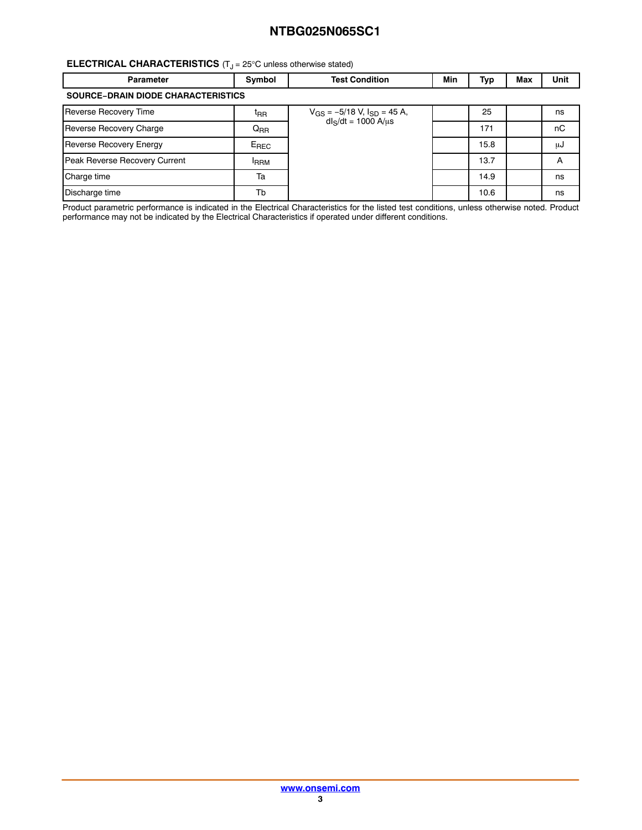#### **ELECTRICAL CHARACTERISTICS** (T<sub>J</sub> = 25°C unless otherwise stated)

| <b>Parameter</b>                          | Symbol           | <b>Test Condition</b>                | Min | Тур  | Max | Unit |  |  |
|-------------------------------------------|------------------|--------------------------------------|-----|------|-----|------|--|--|
| <b>SOURCE-DRAIN DIODE CHARACTERISTICS</b> |                  |                                      |     |      |     |      |  |  |
| Reverse Recovery Time                     | <sup>t</sup> RR  | $V_{GS} = -5/18$ V, $I_{SD} = 45$ A, |     | 25   |     | ns   |  |  |
| Reverse Recovery Charge                   | $Q_{RR}$         | $dl_S/dt = 1000 A/us$                |     | 171  |     | nC   |  |  |
| <b>Reverse Recovery Energy</b>            | E <sub>REC</sub> |                                      |     | 15.8 |     | μJ   |  |  |
| Peak Reverse Recovery Current             | <b>IRRM</b>      |                                      |     | 13.7 |     | A    |  |  |
| Charge time                               | Ta               |                                      |     | 14.9 |     | ns   |  |  |
| Discharge time                            | Tb               |                                      |     | 10.6 |     | ns   |  |  |

Product parametric performance is indicated in the Electrical Characteristics for the listed test conditions, unless otherwise noted. Product performance may not be indicated by the Electrical Characteristics if operated under different conditions.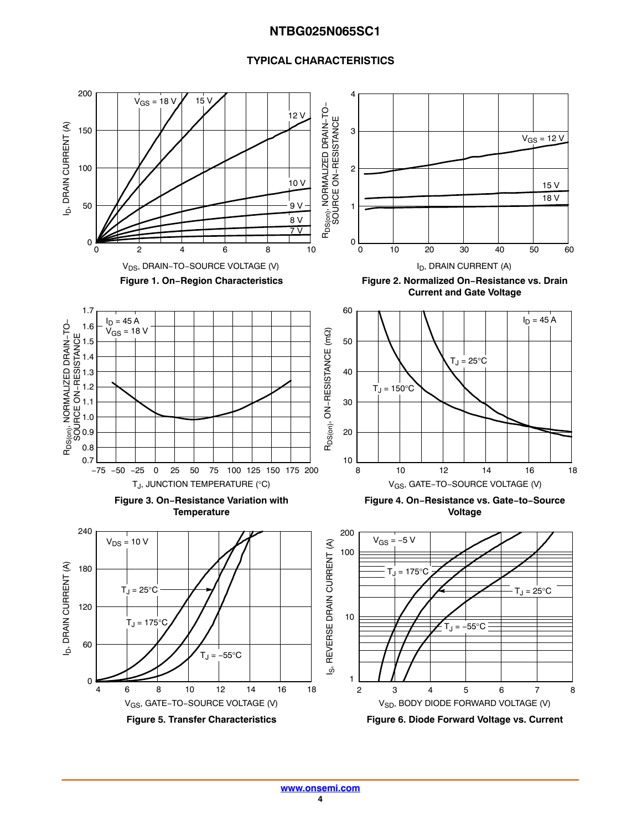#### **TYPICAL CHARACTERISTICS**

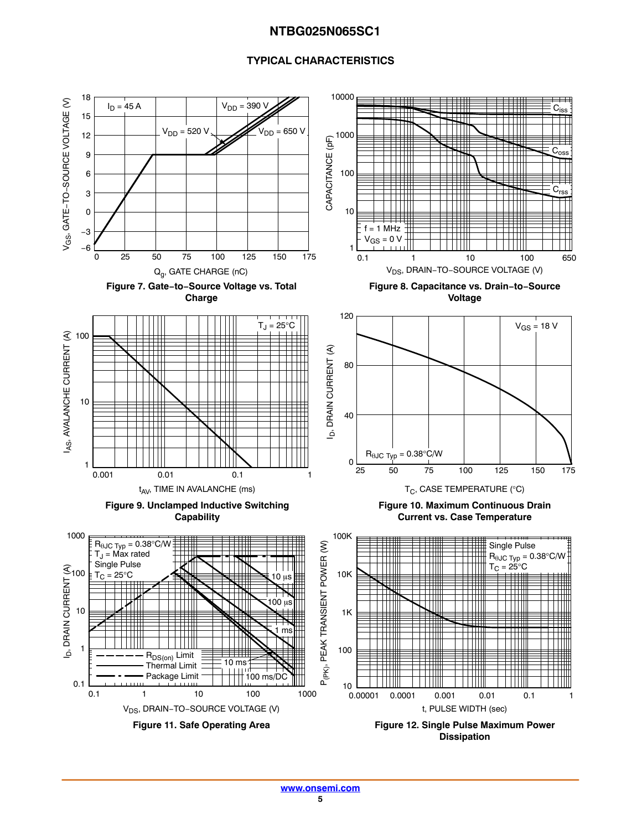#### **TYPICAL CHARACTERISTICS**

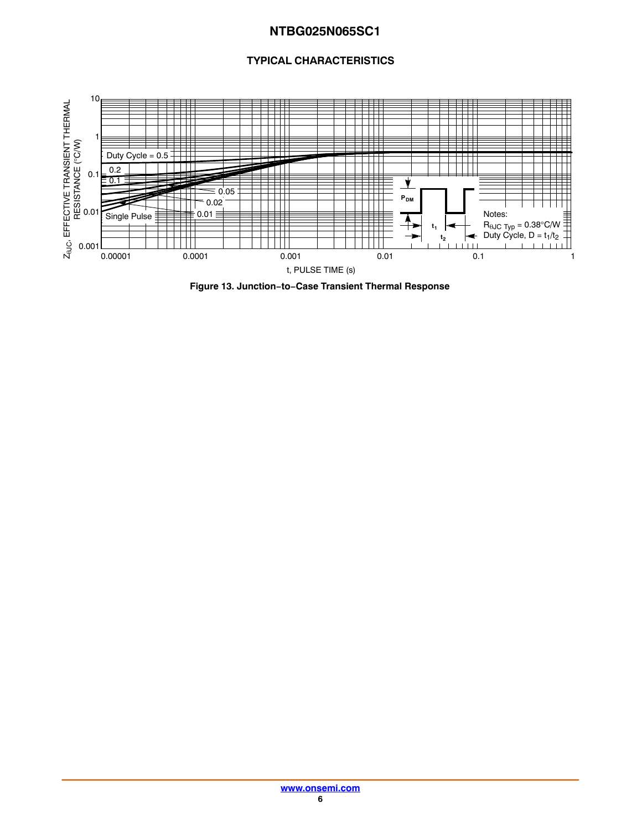#### **TYPICAL CHARACTERISTICS**



**Figure 13. Junction−to−Case Transient Thermal Response**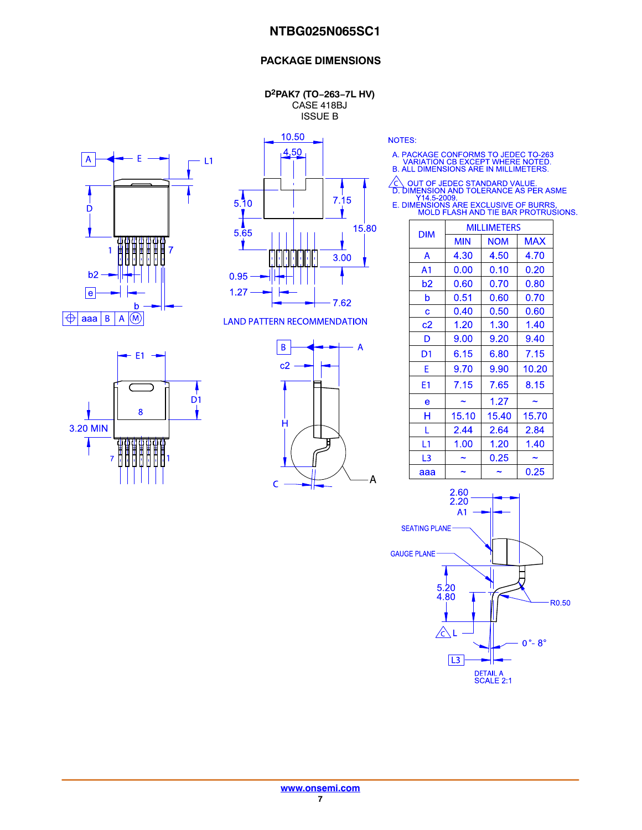#### **PACKAGE DIMENSIONS**

**D2PAK7 (TO−263−7L HV)** CASE 418BJ ISSUE B





10.50

**LAND PATTERN RECOMMENDATION** 





NOTES:

- A. PACKAGE CONFORMS TO JEDEC TO-263<br>VARIATION CB EXCEPT WHERE NOTED.<br>B. ALL DIMENSIONS ARE IN MILLIMETERS.
	-
- $\frac{\mathcal{L}}{\mathsf{D}}$  $\begin{tabular}{ c | c} $\bigcirc$ & OUT OF JEDEC STANDARD VALUE. \hline D. DIMENSION AND TOLERANCE AS PER ASME Y14.5-2009. \hline \end{tabular} \label{tab:2} \begin{tabular}{ c } {\bf E. DIMENSION S ARE EXCLUSIVE OF BURRS, MOLD FLASH AND THE BAR PROTRUSIONS. \hline \end{tabular}$ 
	-

|                | <b>MILLIMETERS</b> |            |            |  |  |  |
|----------------|--------------------|------------|------------|--|--|--|
| <b>DIM</b>     | <b>MIN</b>         | <b>NOM</b> | <b>MAX</b> |  |  |  |
| A              | 4.30               | 4.50       | 4.70       |  |  |  |
| A <sub>1</sub> | 0.00               | 0.10       | 0.20       |  |  |  |
| b2             | 0.60               | 0.70       | 0.80       |  |  |  |
| b              | 0.51               | 0.60       | 0.70       |  |  |  |
| Ć              | 0.40               | 0.50       | 0.60       |  |  |  |
| c2             | 1.20               | 1.30       | 1.40       |  |  |  |
| D              | 9.00               | 9.20       | 9.40       |  |  |  |
| D1             | 6.15               | 6.80       | 7.15       |  |  |  |
| E              | 9.70               | 9.90       | 10.20      |  |  |  |
| E1             | 7.15               | 7.65       | 8.15       |  |  |  |
| e              |                    | 1.27       |            |  |  |  |
| н              | 15.10              | 15.40      | 15.70      |  |  |  |
| L              | 2.44               | 2.64       | 2.84       |  |  |  |
| L <sub>1</sub> | 1.00               | 1.20       | 1.40       |  |  |  |
| L <sub>3</sub> |                    | 0.25       | ~          |  |  |  |
| aaa            |                    | 0.25       |            |  |  |  |